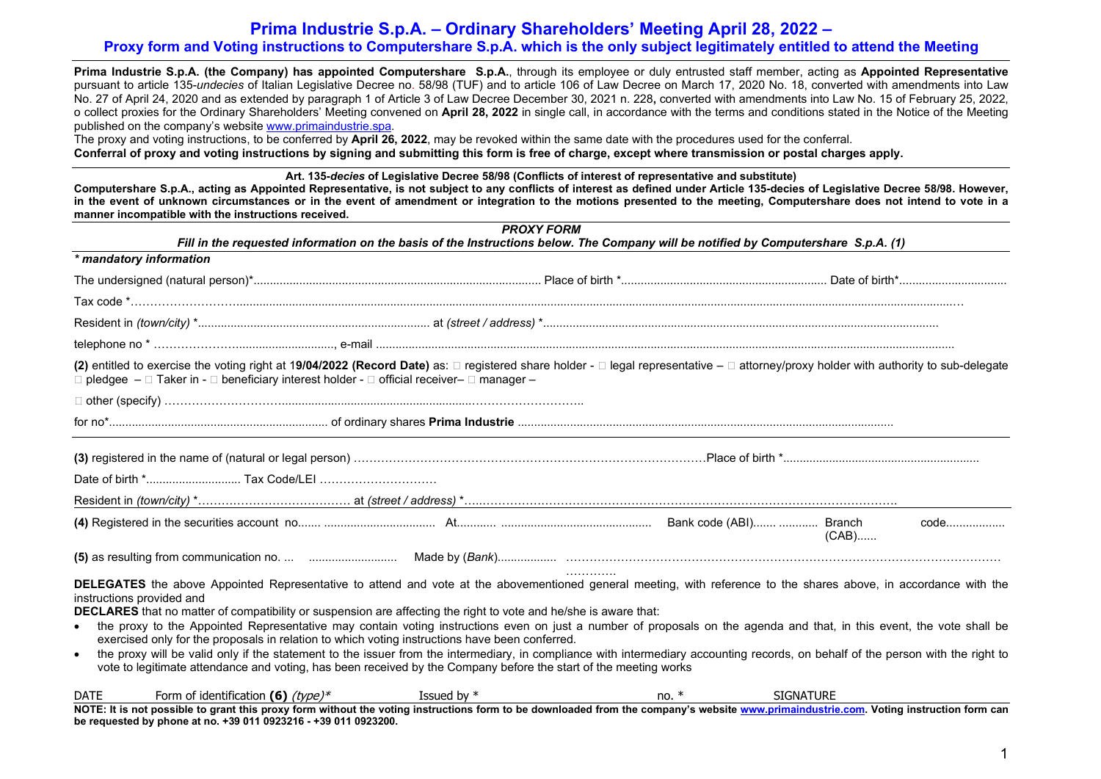## **Prima Industrie S.p.A. – Ordinary Shareholders' Meeting April 28, 2022 –**

## **Proxy form and Voting instructions to Computershare S.p.A. which is the only subject legitimately entitled to attend the Meeting**

**Prima Industrie S.p.A. (the Company) has appointed Computershare S.p.A.**, through its employee or duly entrusted staff member, acting as **Appointed Representative** pursuant to article 135-*undecies* of Italian Legislative Decree no. 58/98 (TUF) and to article 106 of Law Decree on March 17, 2020 No. 18, converted with amendments into Law No. 27 of April 24, 2020 and as extended by paragraph 1 of Article 3 of Law Decree December 30, 2021 n. 228**,** converted with amendments into Law No. 15 of February 25, 2022, o collect proxies for the Ordinary Shareholders' Meeting convened on **April 28, 2022** in single call, in accordance with the terms and conditions stated in the Notice of the Meeting published on the company's website www.primaindustrie.spa.

The proxy and voting instructions, to be conferred by **April 26, 2022**, may be revoked within the same date with the procedures used for the conferral. **Conferral of proxy and voting instructions by signing and submitting this form is free of charge, except where transmission or postal charges apply.**

**Art. 135-***decies* **of Legislative Decree 58/98 (Conflicts of interest of representative and substitute)** 

**Computershare S.p.A., acting as Appointed Representative, is not subject to any conflicts of interest as defined under Article 135-decies of Legislative Decree 58/98. However, in the event of unknown circumstances or in the event of amendment or integration to the motions presented to the meeting, Computershare does not intend to vote in a manner incompatible with the instructions received.**

|                                                                                                                                                                                                                                                                                                                                                                                                                                                                                                                                                                                                                                                                                                                                                                                                                                                                                                                    | <b>PROXY FORM</b>                                                                                                                  |         |                  |  |
|--------------------------------------------------------------------------------------------------------------------------------------------------------------------------------------------------------------------------------------------------------------------------------------------------------------------------------------------------------------------------------------------------------------------------------------------------------------------------------------------------------------------------------------------------------------------------------------------------------------------------------------------------------------------------------------------------------------------------------------------------------------------------------------------------------------------------------------------------------------------------------------------------------------------|------------------------------------------------------------------------------------------------------------------------------------|---------|------------------|--|
|                                                                                                                                                                                                                                                                                                                                                                                                                                                                                                                                                                                                                                                                                                                                                                                                                                                                                                                    | Fill in the requested information on the basis of the Instructions below. The Company will be notified by Computershare S.p.A. (1) |         |                  |  |
| * mandatory information                                                                                                                                                                                                                                                                                                                                                                                                                                                                                                                                                                                                                                                                                                                                                                                                                                                                                            |                                                                                                                                    |         |                  |  |
|                                                                                                                                                                                                                                                                                                                                                                                                                                                                                                                                                                                                                                                                                                                                                                                                                                                                                                                    |                                                                                                                                    |         |                  |  |
|                                                                                                                                                                                                                                                                                                                                                                                                                                                                                                                                                                                                                                                                                                                                                                                                                                                                                                                    |                                                                                                                                    |         |                  |  |
|                                                                                                                                                                                                                                                                                                                                                                                                                                                                                                                                                                                                                                                                                                                                                                                                                                                                                                                    |                                                                                                                                    |         |                  |  |
|                                                                                                                                                                                                                                                                                                                                                                                                                                                                                                                                                                                                                                                                                                                                                                                                                                                                                                                    |                                                                                                                                    |         |                  |  |
| (2) entitled to exercise the voting right at 19/04/2022 (Record Date) as: □ registered share holder - □ legal representative - □ attorney/proxy holder with authority to sub-delegate<br>$\Box$ pledgee $-\Box$ Taker in - $\Box$ beneficiary interest holder - $\Box$ official receiver- $\Box$ manager -                                                                                                                                                                                                                                                                                                                                                                                                                                                                                                                                                                                                         |                                                                                                                                    |         |                  |  |
|                                                                                                                                                                                                                                                                                                                                                                                                                                                                                                                                                                                                                                                                                                                                                                                                                                                                                                                    |                                                                                                                                    |         |                  |  |
|                                                                                                                                                                                                                                                                                                                                                                                                                                                                                                                                                                                                                                                                                                                                                                                                                                                                                                                    |                                                                                                                                    |         |                  |  |
|                                                                                                                                                                                                                                                                                                                                                                                                                                                                                                                                                                                                                                                                                                                                                                                                                                                                                                                    |                                                                                                                                    |         |                  |  |
|                                                                                                                                                                                                                                                                                                                                                                                                                                                                                                                                                                                                                                                                                                                                                                                                                                                                                                                    |                                                                                                                                    |         |                  |  |
|                                                                                                                                                                                                                                                                                                                                                                                                                                                                                                                                                                                                                                                                                                                                                                                                                                                                                                                    |                                                                                                                                    |         |                  |  |
|                                                                                                                                                                                                                                                                                                                                                                                                                                                                                                                                                                                                                                                                                                                                                                                                                                                                                                                    |                                                                                                                                    |         |                  |  |
|                                                                                                                                                                                                                                                                                                                                                                                                                                                                                                                                                                                                                                                                                                                                                                                                                                                                                                                    |                                                                                                                                    |         | $(CAB)$          |  |
|                                                                                                                                                                                                                                                                                                                                                                                                                                                                                                                                                                                                                                                                                                                                                                                                                                                                                                                    |                                                                                                                                    |         |                  |  |
| DELEGATES the above Appointed Representative to attend and vote at the abovementioned general meeting, with reference to the shares above, in accordance with the<br>instructions provided and<br>DECLARES that no matter of compatibility or suspension are affecting the right to vote and he/she is aware that:<br>the proxy to the Appointed Representative may contain voting instructions even on just a number of proposals on the agenda and that, in this event, the vote shall be<br>$\bullet$<br>exercised only for the proposals in relation to which voting instructions have been conferred.<br>the proxy will be valid only if the statement to the issuer from the intermediary, in compliance with intermediary accounting records, on behalf of the person with the right to<br>vote to legitimate attendance and voting, has been received by the Company before the start of the meeting works |                                                                                                                                    |         |                  |  |
| <b>DATE</b><br>Form of identification (6) $(type)*$                                                                                                                                                                                                                                                                                                                                                                                                                                                                                                                                                                                                                                                                                                                                                                                                                                                                | Issued by $*$                                                                                                                      | no. $*$ | <b>SIGNATURE</b> |  |
| NOTE: It is not possible to grant this proxy form without the voting instructions form to be downloaded from the company's website www.primaindustrie.com. Voting instruction form can<br>be requested by phone at no. +39 011 0923216 - +39 011 0923200.                                                                                                                                                                                                                                                                                                                                                                                                                                                                                                                                                                                                                                                          |                                                                                                                                    |         |                  |  |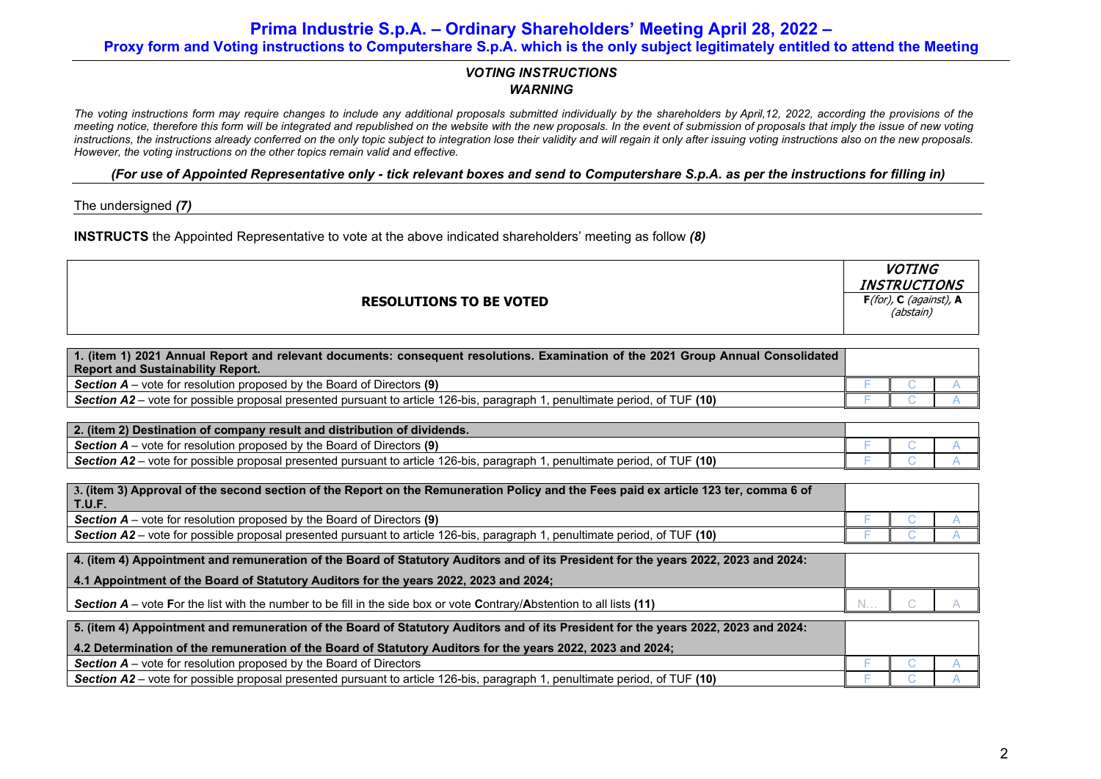**Prima Industrie S.p.A. – Ordinary Shareholders' Meeting April 28, 2022 – Proxy form and Voting instructions to Computershare S.p.A. which is the only subject legitimately entitled to attend the Meeting**

## *VOTING INSTRUCTIONS WARNING*

*The voting instructions form may require changes to include any additional proposals submitted individually by the shareholders by April,12, 2022, according the provisions of the meeting notice, therefore this form will be integrated and republished on the website with the new proposals. In the event of submission of proposals that imply the issue of new voting instructions, the instructions already conferred on the only topic subject to integration lose their validity and will regain it only after issuing voting instructions also on the new proposals. However, the voting instructions on the other topics remain valid and effective.*

## *(For use of Appointed Representative only - tick relevant boxes and send to Computershare S.p.A. as per the instructions for filling in)*

The undersigned *(7)*

**INSTRUCTS** the Appointed Representative to vote at the above indicated shareholders' meeting as follow *(8)*

| <b>RESOLUTIONS TO BE VOTED</b>                                                                                                   |  | <i>VUII</i> NG<br><b>INSTRUCTIONS</b><br>$F$ (for), C (against), A<br>(abstain) |  |  |
|----------------------------------------------------------------------------------------------------------------------------------|--|---------------------------------------------------------------------------------|--|--|
|                                                                                                                                  |  |                                                                                 |  |  |
| 1. (item 1) 2021 Annual Report and relevant documents: consequent resolutions. Examination of the 2021 Group Annual Consolidated |  |                                                                                 |  |  |
| <b>Report and Sustainability Report.</b>                                                                                         |  |                                                                                 |  |  |
| <b>Section A</b> – vote for resolution proposed by the Board of Directors (9)                                                    |  |                                                                                 |  |  |
| Section A2 – vote for possible proposal presented pursuant to article 126-bis, paragraph 1, penultimate period, of TUF (10)      |  |                                                                                 |  |  |

| 2. (item 2) Destination of company result and distribution of dividends.                                                                                  |  |  |
|-----------------------------------------------------------------------------------------------------------------------------------------------------------|--|--|
| - vote for resolution proposed by the Board of Directors (9)<br><b>Section A</b> – $\setminus$                                                            |  |  |
| <b>2</b> – vote for possible proposal presented pursuant to article 126-bis, paragraph 1.<br>TUF (10)<br><b>Section A2</b><br>. penultimate period.<br>ot |  |  |

| $\mid$ 3. (item 3) Approval of the second section of the Report on the Remuneration Policy and the Fees paid ex article 123 ter, comma 6 of<br><b>T.U.F.</b> |  |  |
|--------------------------------------------------------------------------------------------------------------------------------------------------------------|--|--|
| <b>Section A</b> – vote for resolution proposed by the Board of Directors (9)                                                                                |  |  |
| Section A2 – vote for possible proposal presented pursuant to article 126-bis, paragraph 1, penultimate period, of TUF (10)                                  |  |  |
| A literal Annointendo not requirement on the Person of Ctatuters Auditors and of its President for the veare 2002, 2002 and 2024                             |  |  |

| 4. (item 4) Appointment and remuneration of the Board of Statutory Auditors and of its President for the years 2022, 2023 and 2024: |       |  |
|-------------------------------------------------------------------------------------------------------------------------------------|-------|--|
| 4.1 Appointment of the Board of Statutory Auditors for the years 2022, 2023 and 2024;                                               |       |  |
| <b>Section A</b> – vote For the list with the number to be fill in the side box or vote Contrary/Abstention to all lists (11)       | $N$ C |  |

| 5. (item 4) Appointment and remuneration of the Board of Statutory Auditors and of its President for the years 2022, 2023 and 2024: |  |  |
|-------------------------------------------------------------------------------------------------------------------------------------|--|--|
| 4.2 Determination of the remuneration of the Board of Statutory Auditors for the years 2022, 2023 and 2024;                         |  |  |
| <b>Section A</b> – vote for resolution proposed by the Board of Directors                                                           |  |  |
| Section A2 – vote for possible proposal presented pursuant to article 126-bis, paragraph 1, penultimate period, of TUF (10)         |  |  |

 $UOTI$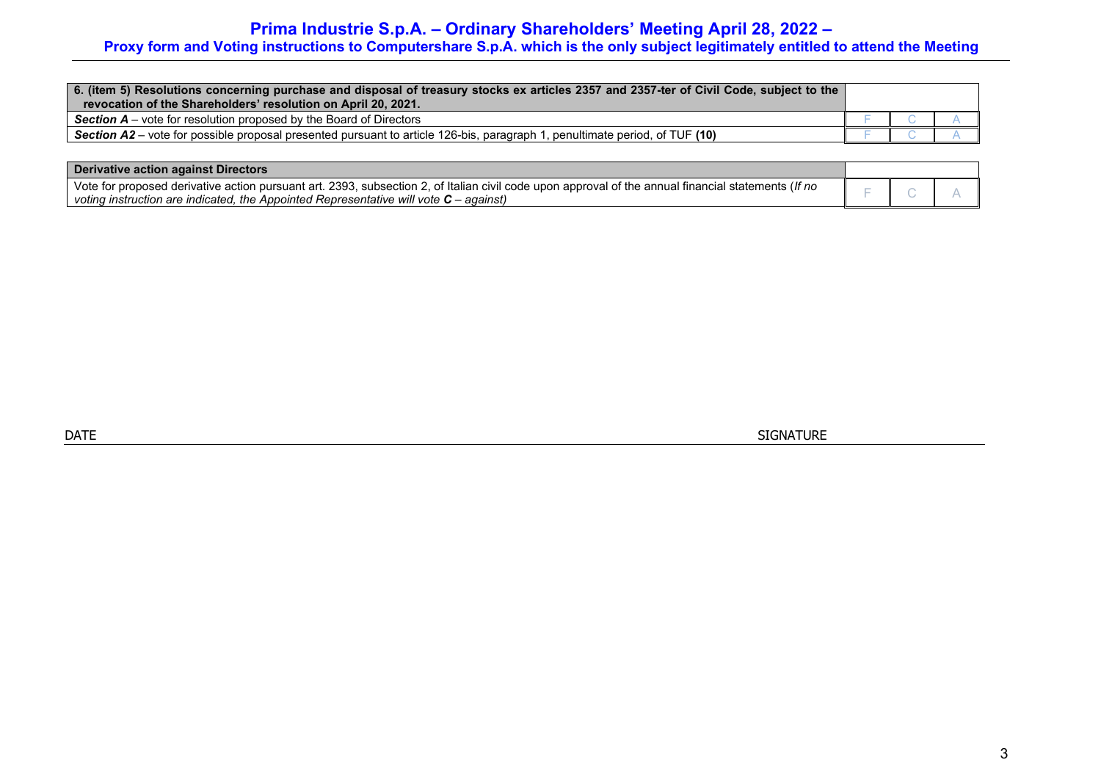# **Prima Industrie S.p.A. – Ordinary Shareholders' Meeting April 28, 2022 –**

## **Proxy form and Voting instructions to Computershare S.p.A. which is the only subject legitimately entitled to attend the Meeting**

| 6. (item 5) Resolutions concerning purchase and disposal of treasury stocks ex articles 2357 and 2357-ter of Civil Code, subject to the<br>revocation of the Shareholders' resolution on April 20, 2021. |  |  |
|----------------------------------------------------------------------------------------------------------------------------------------------------------------------------------------------------------|--|--|
| <b>Section A</b> – vote for resolution proposed by the Board of Directors                                                                                                                                |  |  |
| Section A2 – vote for possible proposal presented pursuant to article 126-bis, paragraph 1, penultimate period, of TUF (10)                                                                              |  |  |

| <b>Derivative action against Directors</b>                                                                                                          |  |  |
|-----------------------------------------------------------------------------------------------------------------------------------------------------|--|--|
| Vote for proposed derivative action pursuant art. 2393, subsection 2, of Italian civil code upon approval of the annual financial statements (If no |  |  |
| $\blacksquare$ voting instruction are indicated, the Appointed Representative will vote $\mathbf{C}$ – against)                                     |  |  |

dentity in the state of the state of the state of the state of the state of the state of the state of the state of the state of the state of the state of the state of the state of the state of the state of the state of the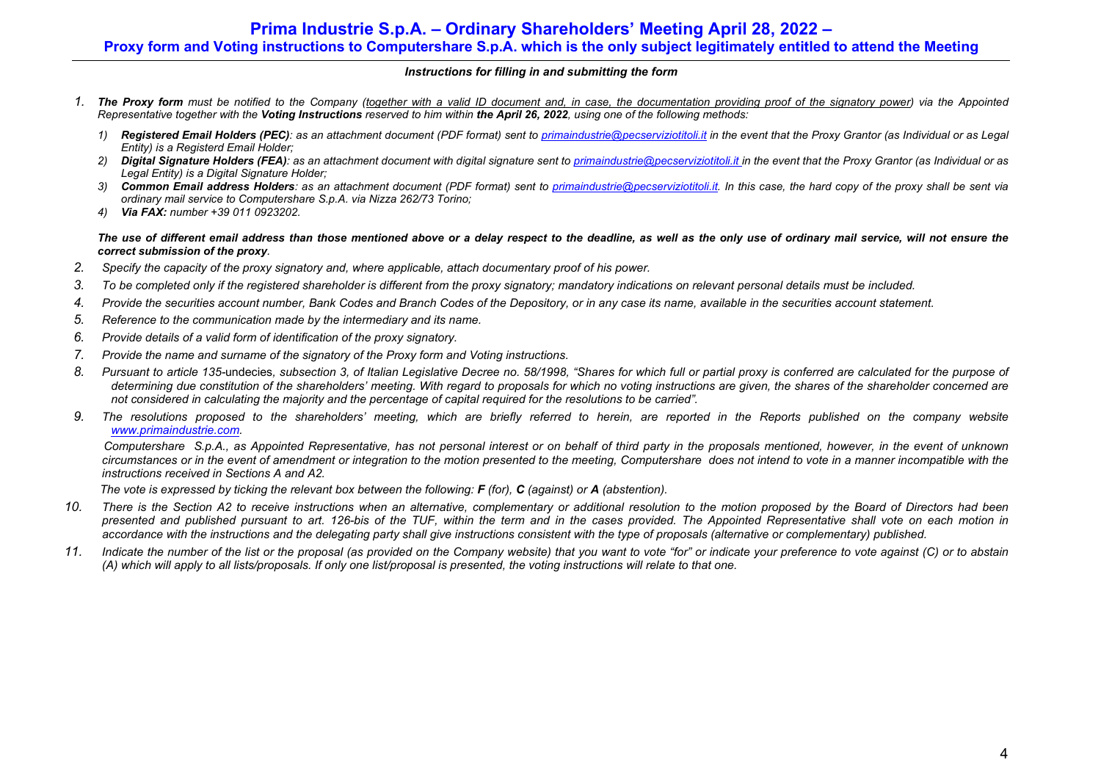## **Prima Industrie S.p.A. – Ordinary Shareholders' Meeting April 28, 2022 – Proxy form and Voting instructions to Computershare S.p.A. which is the only subject legitimately entitled to attend the Meeting**

### *Instructions for filling in and submitting the form*

- *1. The Proxy form must be notified to the Company (together with a valid ID document and, in case, the documentation providing proof of the signatory power) via the Appointed Representative together with the Voting Instructions reserved to him within the April 26, 2022, using one of the following methods:*
	- *1) Registered Email Holders (PEC): as an attachment document (PDF format) sent to primaindustrie@pecserviziotitoli.it in the event that the Proxy Grantor (as Individual or as Legal Entity) is a Registerd Email Holder;*
	- 2) **Digital Signature Holders (FEA)**: as an attachment document with digital signature sent to primaindustrie@pecserviziotitoli.it in the event that the Proxy Grantor (as Individual or as *Legal Entity) is a Digital Signature Holder;*
	- *3) Common Email address Holders: as an attachment document (PDF format) sent to primaindustrie@pecserviziotitoli.it. In this case, the hard copy of the proxy shall be sent via ordinary mail service to Computershare S.p.A. via Nizza 262/73 Torino;*
	- *4) Via FAX: number +39 011 0923202.*

*The use of different email address than those mentioned above or a delay respect to the deadline, as well as the only use of ordinary mail service, will not ensure the correct submission of the proxy.* 

- *2. Specify the capacity of the proxy signatory and, where applicable, attach documentary proof of his power.*
- *3. To be completed only if the registered shareholder is different from the proxy signatory; mandatory indications on relevant personal details must be included.*
- *4. Provide the securities account number, Bank Codes and Branch Codes of the Depository, or in any case its name, available in the securities account statement.*
- *5. Reference to the communication made by the intermediary and its name.*
- *6. Provide details of a valid form of identification of the proxy signatory.*
- *7. Provide the name and surname of the signatory of the Proxy form and Voting instructions.*
- *8. Pursuant to article 135-*undecies*, subsection 3, of Italian Legislative Decree no. 58/1998, "Shares for which full or partial proxy is conferred are calculated for the purpose of determining due constitution of the shareholders' meeting. With regard to proposals for which no voting instructions are given, the shares of the shareholder concerned are not considered in calculating the majority and the percentage of capital required for the resolutions to be carried".*
- *9. The resolutions proposed to the shareholders' meeting, which are briefly referred to herein, are reported in the Reports published on the company website www.primaindustrie.com.*

 *Computershare S.p.A., as Appointed Representative, has not personal interest or on behalf of third party in the proposals mentioned, however, in the event of unknown circumstances or in the event of amendment or integration to the motion presented to the meeting, Computershare does not intend to vote in a manner incompatible with the instructions received in Sections A and A2.* 

 *The vote is expressed by ticking the relevant box between the following: F (for), C (against) or A (abstention).* 

- *10. There is the Section A2 to receive instructions when an alternative, complementary or additional resolution to the motion proposed by the Board of Directors had been presented and published pursuant to art. 126-bis of the TUF, within the term and in the cases provided. The Appointed Representative shall vote on each motion in*  accordance with the instructions and the delegating party shall give instructions consistent with the type of proposals (alternative or complementary) published.
- *11. Indicate the number of the list or the proposal (as provided on the Company website) that you want to vote "for" or indicate your preference to vote against (C) or to abstain (A) which will apply to all lists/proposals. If only one list/proposal is presented, the voting instructions will relate to that one.*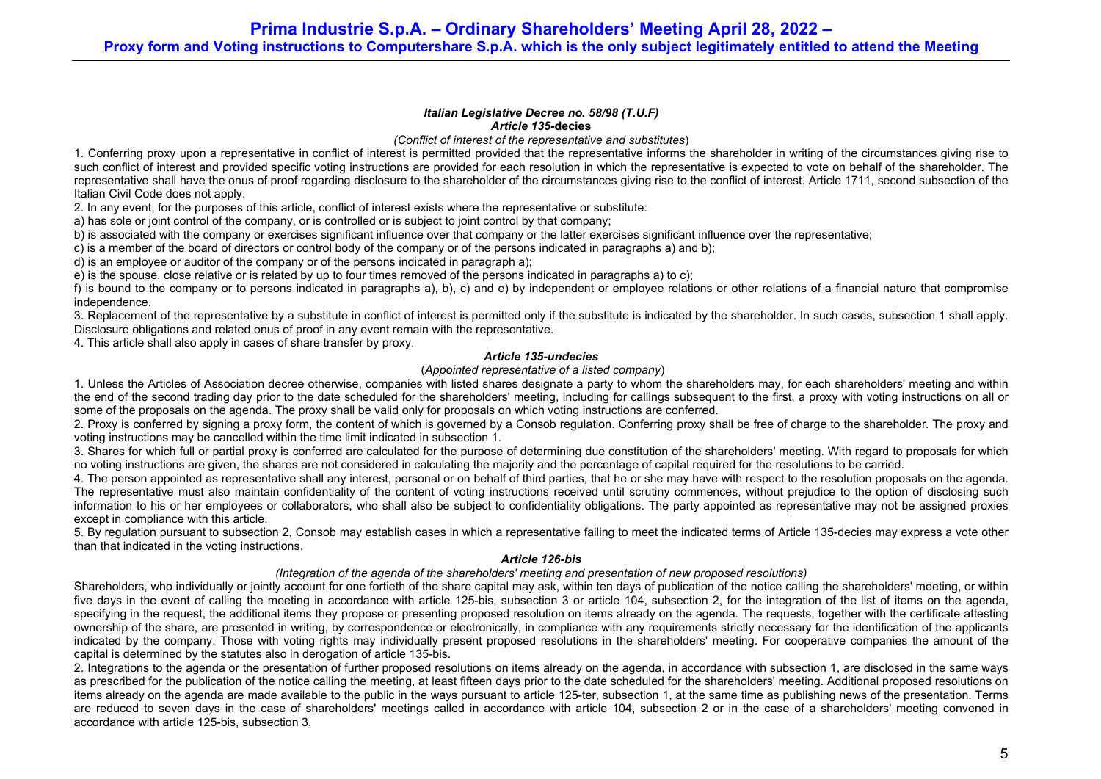#### *Italian Legislative Decree no. 58/98 (T.U.F) Article 135-***decies**

*(Conflict of interest of the representative and substitutes*)

1. Conferring proxy upon a representative in conflict of interest is permitted provided that the representative informs the shareholder in writing of the circumstances giving rise to such conflict of interest and provided specific voting instructions are provided for each resolution in which the representative is expected to vote on behalf of the shareholder. The representative shall have the onus of proof regarding disclosure to the shareholder of the circumstances giving rise to the conflict of interest. Article 1711, second subsection of the Italian Civil Code does not apply.

2. In any event, for the purposes of this article, conflict of interest exists where the representative or substitute:

a) has sole or joint control of the company, or is controlled or is subject to joint control by that company;

b) is associated with the company or exercises significant influence over that company or the latter exercises significant influence over the representative;

c) is a member of the board of directors or control body of the company or of the persons indicated in paragraphs a) and b);

d) is an employee or auditor of the company or of the persons indicated in paragraph a);

e) is the spouse, close relative or is related by up to four times removed of the persons indicated in paragraphs a) to c);

f) is bound to the company or to persons indicated in paragraphs a), b), c) and e) by independent or employee relations or other relations of a financial nature that compromise independence.

3. Replacement of the representative by a substitute in conflict of interest is permitted only if the substitute is indicated by the shareholder. In such cases, subsection 1 shall apply. Disclosure obligations and related onus of proof in any event remain with the representative.

4. This article shall also apply in cases of share transfer by proxy.

### *Article 135-undecies*

### (*Appointed representative of a listed company*)

1. Unless the Articles of Association decree otherwise, companies with listed shares designate a party to whom the shareholders may, for each shareholders' meeting and within the end of the second trading day prior to the date scheduled for the shareholders' meeting, including for callings subsequent to the first, a proxy with voting instructions on all or some of the proposals on the agenda. The proxy shall be valid only for proposals on which voting instructions are conferred.

2. Proxy is conferred by signing a proxy form, the content of which is governed by a Consob regulation. Conferring proxy shall be free of charge to the shareholder. The proxy and voting instructions may be cancelled within the time limit indicated in subsection 1.

3. Shares for which full or partial proxy is conferred are calculated for the purpose of determining due constitution of the shareholders' meeting. With regard to proposals for which no voting instructions are given, the shares are not considered in calculating the majority and the percentage of capital required for the resolutions to be carried.

4. The person appointed as representative shall any interest, personal or on behalf of third parties, that he or she may have with respect to the resolution proposals on the agenda. The representative must also maintain confidentiality of the content of voting instructions received until scrutiny commences, without prejudice to the option of disclosing such information to his or her employees or collaborators, who shall also be subject to confidentiality obligations. The party appointed as representative may not be assigned proxies except in compliance with this article.

5. By regulation pursuant to subsection 2, Consob may establish cases in which a representative failing to meet the indicated terms of Article 135-decies may express a vote other than that indicated in the voting instructions.

### *Article 126-bis*

### *(Integration of the agenda of the shareholders' meeting and presentation of new proposed resolutions)*

Shareholders, who individually or jointly account for one fortieth of the share capital may ask, within ten days of publication of the notice calling the shareholders' meeting, or within five days in the event of calling the meeting in accordance with article 125-bis, subsection 3 or article 104, subsection 2, for the integration of the list of items on the agenda, specifying in the request, the additional items they propose or presenting proposed resolution on items already on the agenda. The requests, together with the certificate attesting ownership of the share, are presented in writing, by correspondence or electronically, in compliance with any requirements strictly necessary for the identification of the applicants indicated by the company. Those with voting rights may individually present proposed resolutions in the shareholders' meeting. For cooperative companies the amount of the capital is determined by the statutes also in derogation of article 135-bis.

2. Integrations to the agenda or the presentation of further proposed resolutions on items already on the agenda, in accordance with subsection 1, are disclosed in the same ways as prescribed for the publication of the notice calling the meeting, at least fifteen days prior to the date scheduled for the shareholders' meeting. Additional proposed resolutions on items already on the agenda are made available to the public in the ways pursuant to article 125-ter, subsection 1, at the same time as publishing news of the presentation. Terms are reduced to seven days in the case of shareholders' meetings called in accordance with article 104, subsection 2 or in the case of a shareholders' meeting convened in accordance with article 125-bis, subsection 3.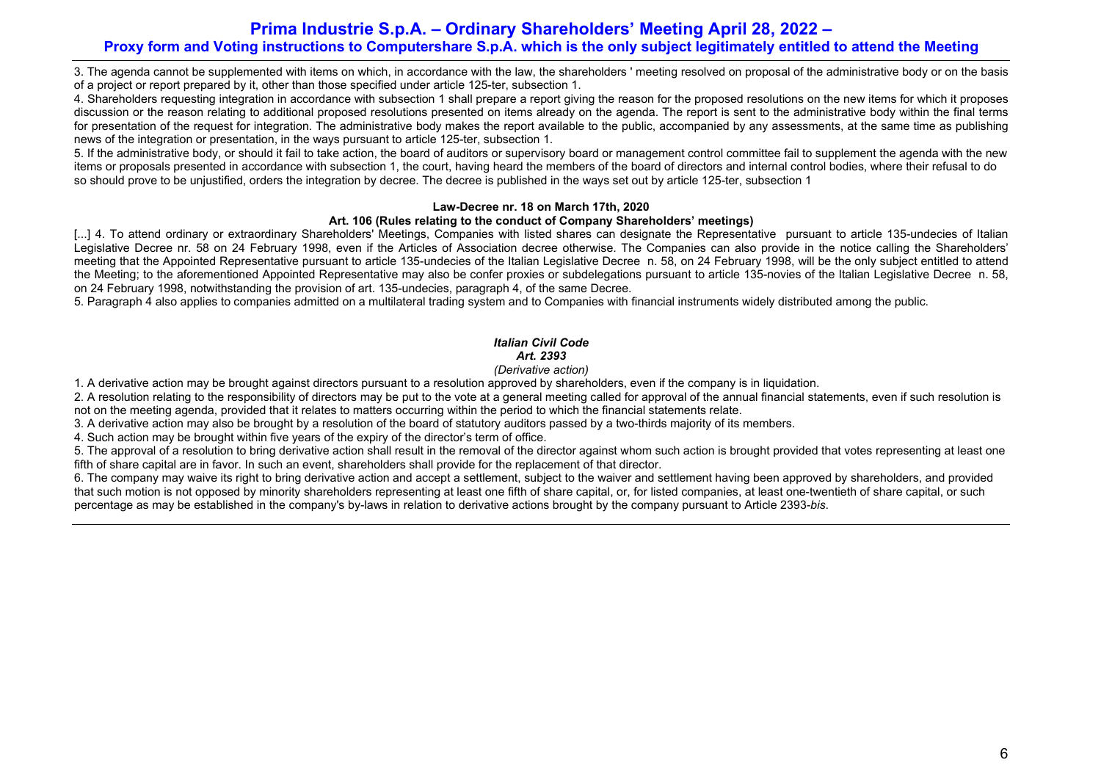## **Prima Industrie S.p.A. – Ordinary Shareholders' Meeting April 28, 2022 – Proxy form and Voting instructions to Computershare S.p.A. which is the only subject legitimately entitled to attend the Meeting**

3. The agenda cannot be supplemented with items on which, in accordance with the law, the shareholders ' meeting resolved on proposal of the administrative body or on the basis of a project or report prepared by it, other than those specified under article 125-ter, subsection 1.

4. Shareholders requesting integration in accordance with subsection 1 shall prepare a report giving the reason for the proposed resolutions on the new items for which it proposes discussion or the reason relating to additional proposed resolutions presented on items already on the agenda. The report is sent to the administrative body within the final terms for presentation of the request for integration. The administrative body makes the report available to the public, accompanied by any assessments, at the same time as publishing news of the integration or presentation, in the ways pursuant to article 125-ter, subsection 1.

5. If the administrative body, or should it fail to take action, the board of auditors or supervisory board or management control committee fail to supplement the agenda with the new items or proposals presented in accordance with subsection 1, the court, having heard the members of the board of directors and internal control bodies, where their refusal to do so should prove to be unjustified, orders the integration by decree. The decree is published in the ways set out by article 125-ter, subsection 1

### **Law-Decree nr. 18 on March 17th, 2020**

### **Art. 106 (Rules relating to the conduct of Company Shareholders' meetings)**

[...] 4. To attend ordinary or extraordinary Shareholders' Meetings, Companies with listed shares can designate the Representative pursuant to article 135-undecies of Italian Legislative Decree nr. 58 on 24 February 1998, even if the Articles of Association decree otherwise. The Companies can also provide in the notice calling the Shareholders' meeting that the Appointed Representative pursuant to article 135-undecies of the Italian Legislative Decree n. 58, on 24 February 1998, will be the only subject entitled to attend the Meeting; to the aforementioned Appointed Representative may also be confer proxies or subdelegations pursuant to article 135-novies of the Italian Legislative Decree n. 58, on 24 February 1998, notwithstanding the provision of art. 135-undecies, paragraph 4, of the same Decree.

5. Paragraph 4 also applies to companies admitted on a multilateral trading system and to Companies with financial instruments widely distributed among the public.

## *Italian Civil Code Art. 2393*

### *(Derivative action)*

1. A derivative action may be brought against directors pursuant to a resolution approved by shareholders, even if the company is in liquidation.

2. A resolution relating to the responsibility of directors may be put to the vote at a general meeting called for approval of the annual financial statements, even if such resolution is not on the meeting agenda, provided that it relates to matters occurring within the period to which the financial statements relate.

3. A derivative action may also be brought by a resolution of the board of statutory auditors passed by a two-thirds majority of its members.

4. Such action may be brought within five years of the expiry of the director's term of office.

5. The approval of a resolution to bring derivative action shall result in the removal of the director against whom such action is brought provided that votes representing at least one fifth of share capital are in favor. In such an event, shareholders shall provide for the replacement of that director.

6. The company may waive its right to bring derivative action and accept a settlement, subject to the waiver and settlement having been approved by shareholders, and provided that such motion is not opposed by minority shareholders representing at least one fifth of share capital, or, for listed companies, at least one-twentieth of share capital, or such percentage as may be established in the company's by-laws in relation to derivative actions brought by the company pursuant to Article 2393-*bis*.